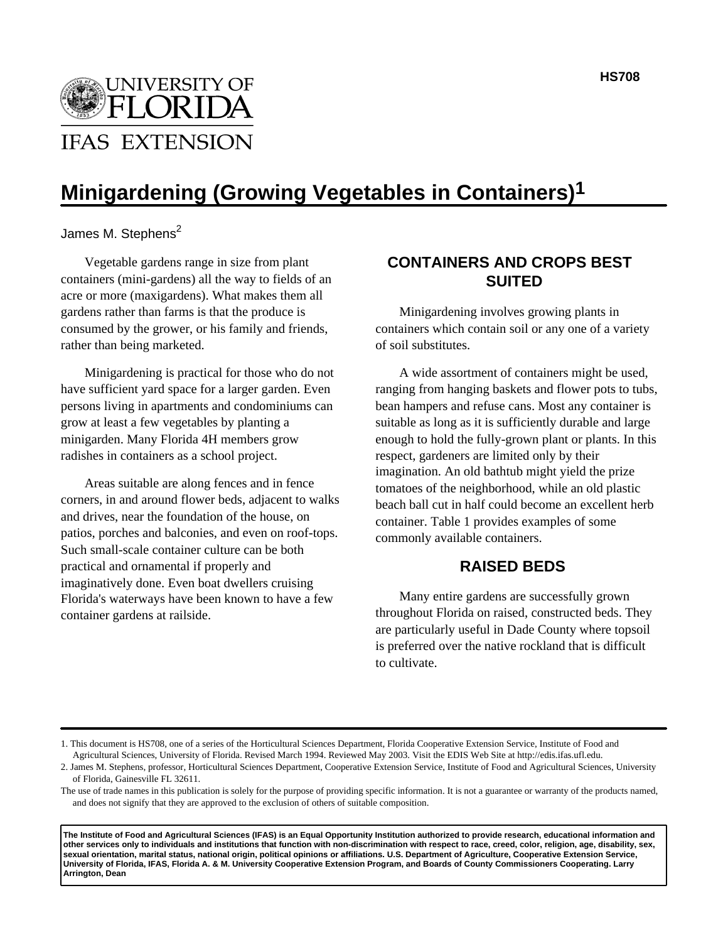

# **Minigardening (Growing Vegetables in Containers)1**

James M. Stephens $^2$ 

Vegetable gardens range in size from plant containers (mini-gardens) all the way to fields of an acre or more (maxigardens). What makes them all gardens rather than farms is that the produce is consumed by the grower, or his family and friends, rather than being marketed.

Minigardening is practical for those who do not have sufficient yard space for a larger garden. Even persons living in apartments and condominiums can grow at least a few vegetables by planting a minigarden. Many Florida 4H members grow radishes in containers as a school project.

Areas suitable are along fences and in fence corners, in and around flower beds, adjacent to walks and drives, near the foundation of the house, on patios, porches and balconies, and even on roof-tops. Such small-scale container culture can be both practical and ornamental if properly and imaginatively done. Even boat dwellers cruising Florida's waterways have been known to have a few container gardens at railside.

# **CONTAINERS AND CROPS BEST SUITED**

Minigardening involves growing plants in containers which contain soil or any one of a variety of soil substitutes.

A wide assortment of containers might be used, ranging from hanging baskets and flower pots to tubs, bean hampers and refuse cans. Most any container is suitable as long as it is sufficiently durable and large enough to hold the fully-grown plant or plants. In this respect, gardeners are limited only by their imagination. An old bathtub might yield the prize tomatoes of the neighborhood, while an old plastic beach ball cut in half could become an excellent herb container. Table 1 provides examples of some commonly available containers.

## **RAISED BEDS**

Many entire gardens are successfully grown throughout Florida on raised, constructed beds. They are particularly useful in Dade County where topsoil is preferred over the native rockland that is difficult to cultivate.

**The Institute of Food and Agricultural Sciences (IFAS) is an Equal Opportunity Institution authorized to provide research, educational information and other services only to individuals and institutions that function with non-discrimination with respect to race, creed, color, religion, age, disability, sex, sexual orientation, marital status, national origin, political opinions or affiliations. U.S. Department of Agriculture, Cooperative Extension Service, University of Florida, IFAS, Florida A. & M. University Cooperative Extension Program, and Boards of County Commissioners Cooperating. Larry Arrington, Dean**

<sup>1.</sup> This document is HS708, one of a series of the Horticultural Sciences Department, Florida Cooperative Extension Service, Institute of Food and Agricultural Sciences, University of Florida. Revised March 1994. Reviewed May 2003. Visit the EDIS Web Site at http://edis.ifas.ufl.edu.

<sup>2.</sup> James M. Stephens, professor, Horticultural Sciences Department, Cooperative Extension Service, Institute of Food and Agricultural Sciences, University of Florida, Gainesville FL 32611.

The use of trade names in this publication is solely for the purpose of providing specific information. It is not a guarantee or warranty of the products named, and does not signify that they are approved to the exclusion of others of suitable composition.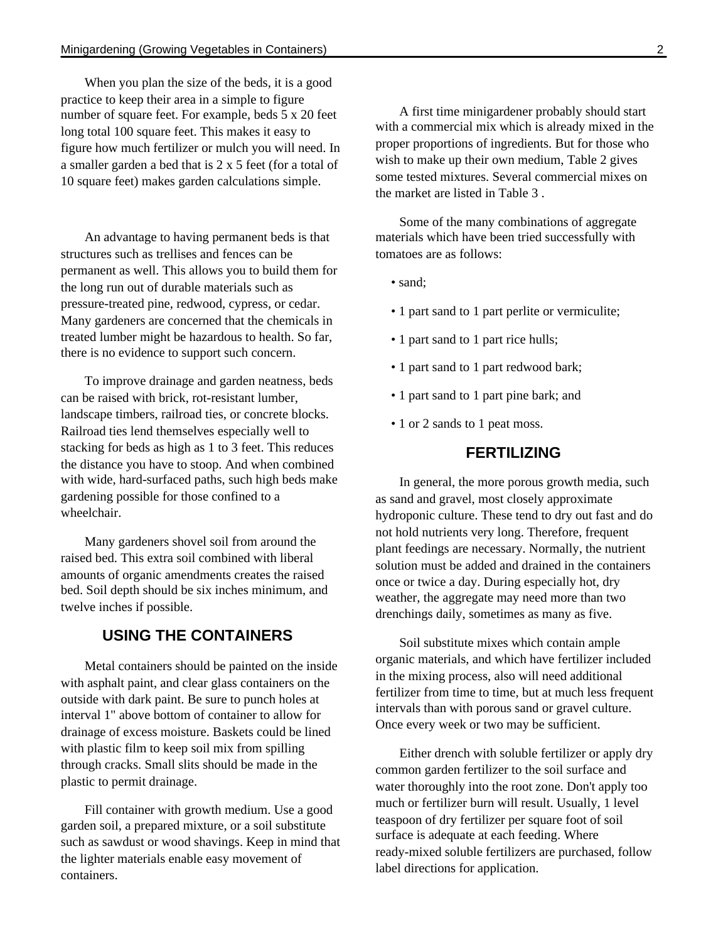When you plan the size of the beds, it is a good practice to keep their area in a simple to figure number of square feet. For example, beds 5 x 20 feet long total 100 square feet. This makes it easy to figure how much fertilizer or mulch you will need. In a smaller garden a bed that is 2 x 5 feet (for a total of 10 square feet) makes garden calculations simple.

An advantage to having permanent beds is that structures such as trellises and fences can be permanent as well. This allows you to build them for the long run out of durable materials such as pressure-treated pine, redwood, cypress, or cedar. Many gardeners are concerned that the chemicals in treated lumber might be hazardous to health. So far, there is no evidence to support such concern.

To improve drainage and garden neatness, beds can be raised with brick, rot-resistant lumber, landscape timbers, railroad ties, or concrete blocks. Railroad ties lend themselves especially well to stacking for beds as high as 1 to 3 feet. This reduces the distance you have to stoop. And when combined with wide, hard-surfaced paths, such high beds make gardening possible for those confined to a wheelchair.

Many gardeners shovel soil from around the raised bed. This extra soil combined with liberal amounts of organic amendments creates the raised bed. Soil depth should be six inches minimum, and twelve inches if possible.

## **USING THE CONTAINERS**

Metal containers should be painted on the inside with asphalt paint, and clear glass containers on the outside with dark paint. Be sure to punch holes at interval 1" above bottom of container to allow for drainage of excess moisture. Baskets could be lined with plastic film to keep soil mix from spilling through cracks. Small slits should be made in the plastic to permit drainage.

Fill container with growth medium. Use a good garden soil, a prepared mixture, or a soil substitute such as sawdust or wood shavings. Keep in mind that the lighter materials enable easy movement of containers.

A first time minigardener probably should start with a commercial mix which is already mixed in the proper proportions of ingredients. But for those who wish to make up their own medium, Table 2 gives some tested mixtures. Several commercial mixes on the market are listed in Table 3 .

Some of the many combinations of aggregate materials which have been tried successfully with tomatoes are as follows:

- sand;
- 1 part sand to 1 part perlite or vermiculite;
- 1 part sand to 1 part rice hulls;
- 1 part sand to 1 part redwood bark;
- 1 part sand to 1 part pine bark; and
- 1 or 2 sands to 1 peat moss.

## **FERTILIZING**

In general, the more porous growth media, such as sand and gravel, most closely approximate hydroponic culture. These tend to dry out fast and do not hold nutrients very long. Therefore, frequent plant feedings are necessary. Normally, the nutrient solution must be added and drained in the containers once or twice a day. During especially hot, dry weather, the aggregate may need more than two drenchings daily, sometimes as many as five.

Soil substitute mixes which contain ample organic materials, and which have fertilizer included in the mixing process, also will need additional fertilizer from time to time, but at much less frequent intervals than with porous sand or gravel culture. Once every week or two may be sufficient.

Either drench with soluble fertilizer or apply dry common garden fertilizer to the soil surface and water thoroughly into the root zone. Don't apply too much or fertilizer burn will result. Usually, 1 level teaspoon of dry fertilizer per square foot of soil surface is adequate at each feeding. Where ready-mixed soluble fertilizers are purchased, follow label directions for application.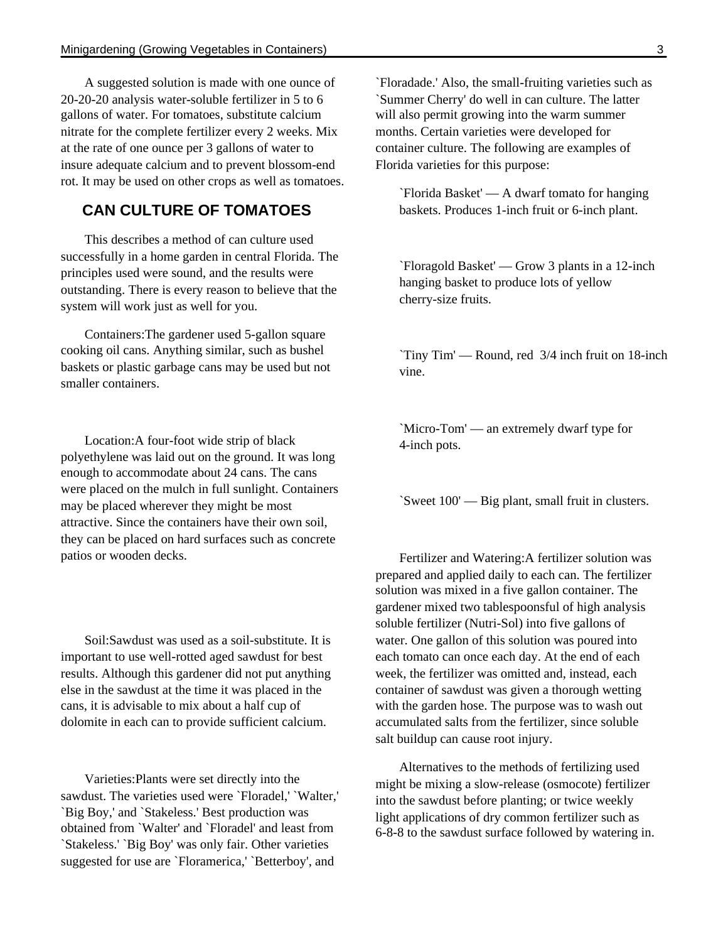A suggested solution is made with one ounce of 20-20-20 analysis water-soluble fertilizer in 5 to 6 gallons of water. For tomatoes, substitute calcium nitrate for the complete fertilizer every 2 weeks. Mix at the rate of one ounce per 3 gallons of water to insure adequate calcium and to prevent blossom-end rot. It may be used on other crops as well as tomatoes.

# **CAN CULTURE OF TOMATOES**

This describes a method of can culture used successfully in a home garden in central Florida. The principles used were sound, and the results were outstanding. There is every reason to believe that the system will work just as well for you.

Containers:The gardener used 5-gallon square cooking oil cans. Anything similar, such as bushel baskets or plastic garbage cans may be used but not smaller containers.

Location:A four-foot wide strip of black polyethylene was laid out on the ground. It was long enough to accommodate about 24 cans. The cans were placed on the mulch in full sunlight. Containers may be placed wherever they might be most attractive. Since the containers have their own soil, they can be placed on hard surfaces such as concrete patios or wooden decks.

Soil:Sawdust was used as a soil-substitute. It is important to use well-rotted aged sawdust for best results. Although this gardener did not put anything else in the sawdust at the time it was placed in the cans, it is advisable to mix about a half cup of dolomite in each can to provide sufficient calcium.

Varieties:Plants were set directly into the sawdust. The varieties used were `Floradel,' `Walter,' `Big Boy,' and `Stakeless.' Best production was obtained from `Walter' and `Floradel' and least from `Stakeless.' `Big Boy' was only fair. Other varieties suggested for use are `Floramerica,' `Betterboy', and

`Floradade.' Also, the small-fruiting varieties such as `Summer Cherry' do well in can culture. The latter will also permit growing into the warm summer months. Certain varieties were developed for container culture. The following are examples of Florida varieties for this purpose:

`Florida Basket' — A dwarf tomato for hanging baskets. Produces 1-inch fruit or 6-inch plant.

`Floragold Basket' — Grow 3 plants in a 12-inch hanging basket to produce lots of yellow cherry-size fruits.

`Tiny Tim' — Round, red 3/4 inch fruit on 18-inch vine.

`Micro-Tom' — an extremely dwarf type for 4-inch pots.

`Sweet 100' — Big plant, small fruit in clusters.

Fertilizer and Watering:A fertilizer solution was prepared and applied daily to each can. The fertilizer solution was mixed in a five gallon container. The gardener mixed two tablespoonsful of high analysis soluble fertilizer (Nutri-Sol) into five gallons of water. One gallon of this solution was poured into each tomato can once each day. At the end of each week, the fertilizer was omitted and, instead, each container of sawdust was given a thorough wetting with the garden hose. The purpose was to wash out accumulated salts from the fertilizer, since soluble salt buildup can cause root injury.

Alternatives to the methods of fertilizing used might be mixing a slow-release (osmocote) fertilizer into the sawdust before planting; or twice weekly light applications of dry common fertilizer such as 6-8-8 to the sawdust surface followed by watering in.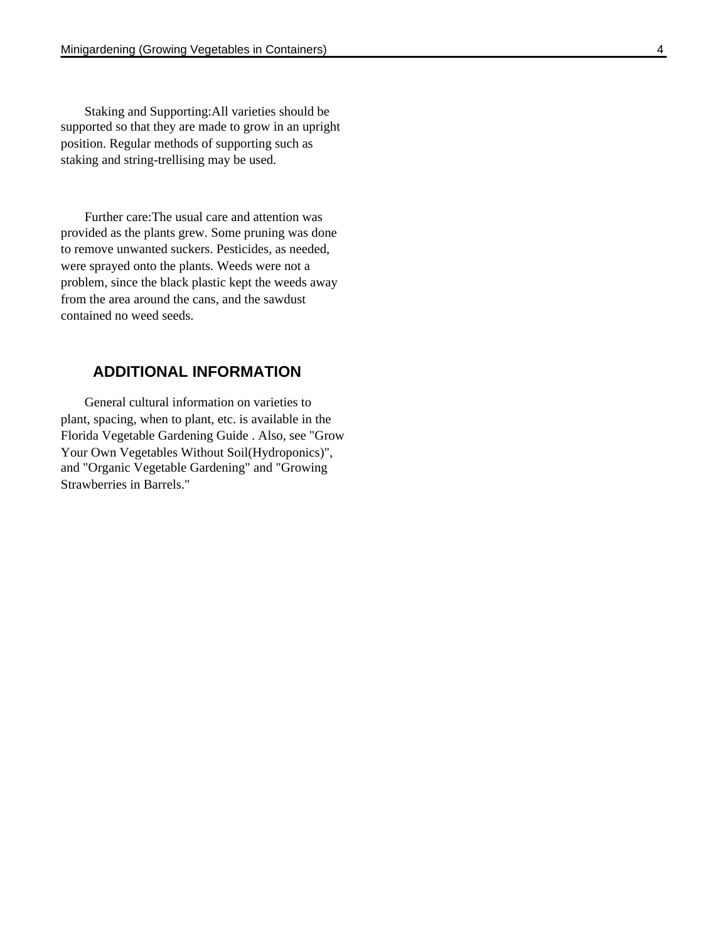Staking and Supporting:All varieties should be supported so that they are made to grow in an upright position. Regular methods of supporting such as staking and string-trellising may be used.

Further care:The usual care and attention was provided as the plants grew. Some pruning was done to remove unwanted suckers. Pesticides, as needed, were sprayed onto the plants. Weeds were not a problem, since the black plastic kept the weeds away from the area around the cans, and the sawdust contained no weed seeds.

## **ADDITIONAL INFORMATION**

General cultural information on varieties to plant, spacing, when to plant, etc. is available in the Florida Vegetable Gardening Guide . Also, see "Grow Your Own Vegetables Without Soil(Hydroponics)", and "Organic Vegetable Gardening" and "Growing Strawberries in Barrels."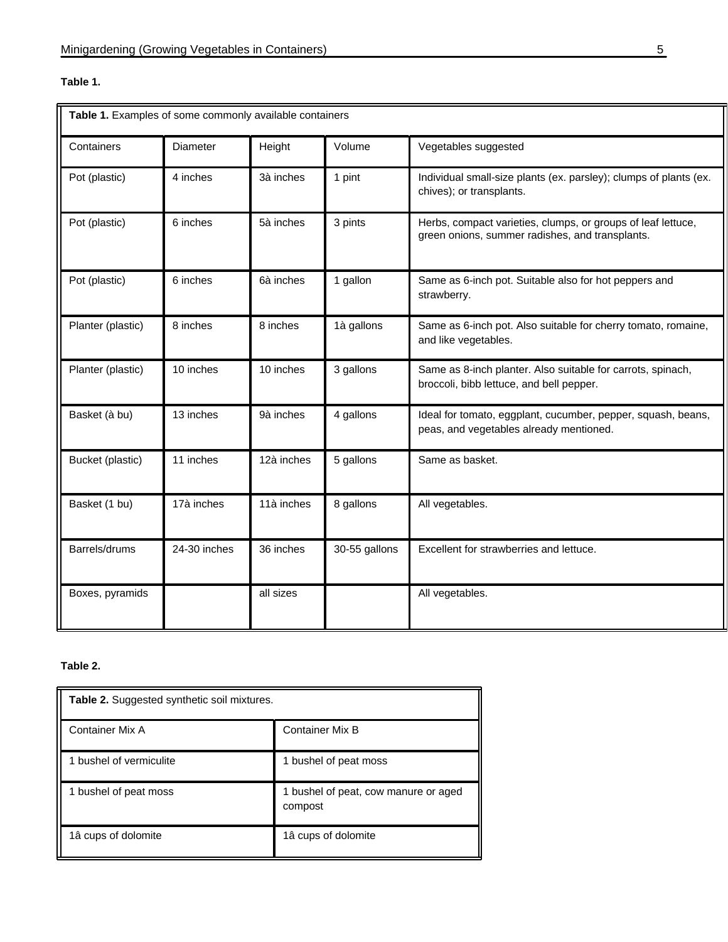## **Table 1.**

| Table 1. Examples of some commonly available containers |              |            |               |                                                                                                                 |  |
|---------------------------------------------------------|--------------|------------|---------------|-----------------------------------------------------------------------------------------------------------------|--|
| Containers                                              | Diameter     | Height     | Volume        | Vegetables suggested                                                                                            |  |
| Pot (plastic)                                           | 4 inches     | 3à inches  | 1 pint        | Individual small-size plants (ex. parsley); clumps of plants (ex.<br>chives); or transplants.                   |  |
| Pot (plastic)                                           | 6 inches     | 5à inches  | 3 pints       | Herbs, compact varieties, clumps, or groups of leaf lettuce,<br>green onions, summer radishes, and transplants. |  |
| Pot (plastic)                                           | 6 inches     | 6à inches  | 1 gallon      | Same as 6-inch pot. Suitable also for hot peppers and<br>strawberry.                                            |  |
| Planter (plastic)                                       | 8 inches     | 8 inches   | 1à gallons    | Same as 6-inch pot. Also suitable for cherry tomato, romaine,<br>and like vegetables.                           |  |
| Planter (plastic)                                       | 10 inches    | 10 inches  | 3 gallons     | Same as 8-inch planter. Also suitable for carrots, spinach,<br>broccoli, bibb lettuce, and bell pepper.         |  |
| Basket (à bu)                                           | 13 inches    | 9à inches  | 4 gallons     | Ideal for tomato, eggplant, cucumber, pepper, squash, beans,<br>peas, and vegetables already mentioned.         |  |
| Bucket (plastic)                                        | 11 inches    | 12à inches | 5 gallons     | Same as basket.                                                                                                 |  |
| Basket (1 bu)                                           | 17à inches   | 11à inches | 8 gallons     | All vegetables.                                                                                                 |  |
| Barrels/drums                                           | 24-30 inches | 36 inches  | 30-55 gallons | Excellent for strawberries and lettuce.                                                                         |  |
| Boxes, pyramids                                         |              | all sizes  |               | All vegetables.                                                                                                 |  |

## **Table 2.**

| <b>Table 2.</b> Suggested synthetic soil mixtures. |                                                 |  |  |
|----------------------------------------------------|-------------------------------------------------|--|--|
| Container Mix A                                    | <b>Container Mix B</b>                          |  |  |
| 1 bushel of vermiculite                            | 1 bushel of peat moss                           |  |  |
| 1 bushel of peat moss                              | 1 bushel of peat, cow manure or aged<br>compost |  |  |
| 1â cups of dolomite                                | 1â cups of dolomite                             |  |  |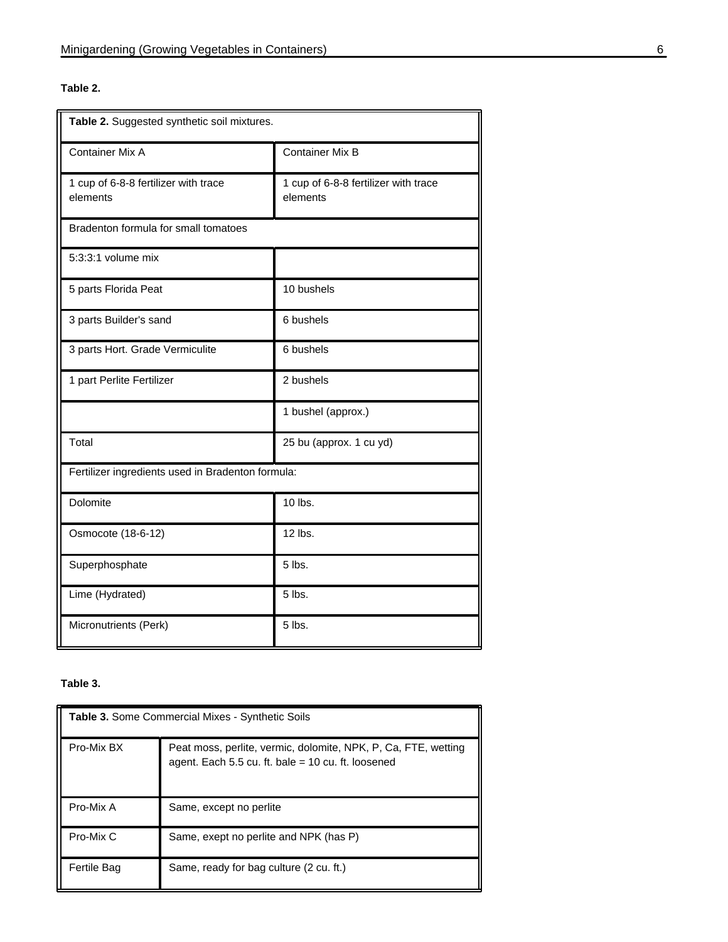## **Table 2.**

| Table 2. Suggested synthetic soil mixtures.       |                                                  |  |  |  |
|---------------------------------------------------|--------------------------------------------------|--|--|--|
| <b>Container Mix A</b>                            | <b>Container Mix B</b>                           |  |  |  |
| 1 cup of 6-8-8 fertilizer with trace<br>elements  | 1 cup of 6-8-8 fertilizer with trace<br>elements |  |  |  |
| Bradenton formula for small tomatoes              |                                                  |  |  |  |
| $5:3:3:1$ volume mix                              |                                                  |  |  |  |
| 5 parts Florida Peat                              | 10 bushels                                       |  |  |  |
| 3 parts Builder's sand                            | 6 bushels                                        |  |  |  |
| 3 parts Hort. Grade Vermiculite                   | 6 bushels                                        |  |  |  |
| 1 part Perlite Fertilizer                         | 2 bushels                                        |  |  |  |
|                                                   | 1 bushel (approx.)                               |  |  |  |
| Total                                             | 25 bu (approx. 1 cu yd)                          |  |  |  |
| Fertilizer ingredients used in Bradenton formula: |                                                  |  |  |  |
| Dolomite                                          | 10 lbs.                                          |  |  |  |
| Osmocote (18-6-12)                                | 12 lbs.                                          |  |  |  |
| Superphosphate                                    | $5$ lbs.                                         |  |  |  |
| Lime (Hydrated)                                   | 5 lbs.                                           |  |  |  |
| Micronutrients (Perk)                             | 5 lbs.                                           |  |  |  |

#### **Table 3.**

| Table 3. Some Commercial Mixes - Synthetic Soils |                                                                                                                      |  |  |
|--------------------------------------------------|----------------------------------------------------------------------------------------------------------------------|--|--|
| Pro-Mix BX                                       | Peat moss, perlite, vermic, dolomite, NPK, P, Ca, FTE, wetting<br>agent. Each 5.5 cu. ft. bale = 10 cu. ft. loosened |  |  |
| Pro-Mix A                                        | Same, except no perlite                                                                                              |  |  |
| Pro-Mix C                                        | Same, exept no perlite and NPK (has P)                                                                               |  |  |
| Fertile Bag                                      | Same, ready for bag culture (2 cu. ft.)                                                                              |  |  |